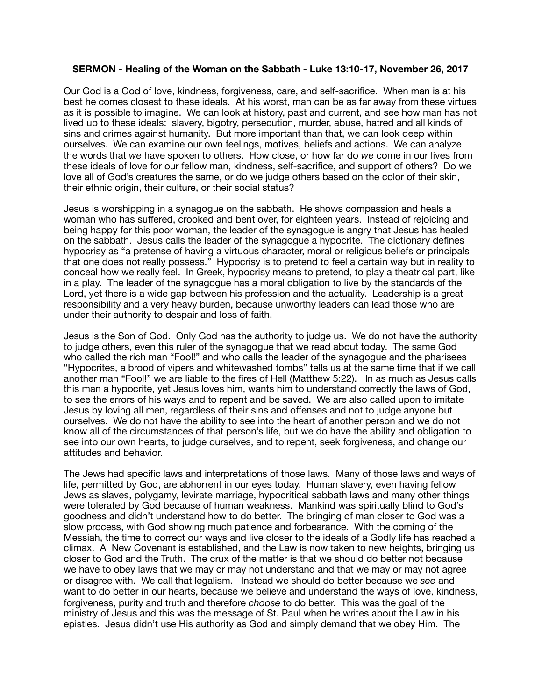## **SERMON - Healing of the Woman on the Sabbath - Luke 13:10-17, November 26, 2017**

Our God is a God of love, kindness, forgiveness, care, and self-sacrifice. When man is at his best he comes closest to these ideals. At his worst, man can be as far away from these virtues as it is possible to imagine. We can look at history, past and current, and see how man has not lived up to these ideals: slavery, bigotry, persecution, murder, abuse, hatred and all kinds of sins and crimes against humanity. But more important than that, we can look deep within ourselves. We can examine our own feelings, motives, beliefs and actions. We can analyze the words that *we* have spoken to others. How close, or how far do *we* come in our lives from these ideals of love for our fellow man, kindness, self-sacrifice, and support of others? Do we love all of God's creatures the same, or do we judge others based on the color of their skin, their ethnic origin, their culture, or their social status?

Jesus is worshipping in a synagogue on the sabbath. He shows compassion and heals a woman who has suffered, crooked and bent over, for eighteen years. Instead of rejoicing and being happy for this poor woman, the leader of the synagogue is angry that Jesus has healed on the sabbath. Jesus calls the leader of the synagogue a hypocrite. The dictionary defines hypocrisy as "a pretense of having a virtuous character, moral or religious beliefs or principals that one does not really possess." Hypocrisy is to pretend to feel a certain way but in reality to conceal how we really feel. In Greek, hypocrisy means to pretend, to play a theatrical part, like in a play. The leader of the synagogue has a moral obligation to live by the standards of the Lord, yet there is a wide gap between his profession and the actuality. Leadership is a great responsibility and a very heavy burden, because unworthy leaders can lead those who are under their authority to despair and loss of faith.

Jesus is the Son of God. Only God has the authority to judge us. We do not have the authority to judge others, even this ruler of the synagogue that we read about today. The same God who called the rich man "Fool!" and who calls the leader of the synagogue and the pharisees "Hypocrites, a brood of vipers and whitewashed tombs" tells us at the same time that if we call another man "Fool!" we are liable to the fires of Hell (Matthew 5:22). In as much as Jesus calls this man a hypocrite, yet Jesus loves him, wants him to understand correctly the laws of God, to see the errors of his ways and to repent and be saved. We are also called upon to imitate Jesus by loving all men, regardless of their sins and offenses and not to judge anyone but ourselves. We do not have the ability to see into the heart of another person and we do not know all of the circumstances of that person's life, but we do have the ability and obligation to see into our own hearts, to judge ourselves, and to repent, seek forgiveness, and change our attitudes and behavior.

The Jews had specific laws and interpretations of those laws. Many of those laws and ways of life, permitted by God, are abhorrent in our eyes today. Human slavery, even having fellow Jews as slaves, polygamy, levirate marriage, hypocritical sabbath laws and many other things were tolerated by God because of human weakness. Mankind was spiritually blind to God's goodness and didn't understand how to do better. The bringing of man closer to God was a slow process, with God showing much patience and forbearance. With the coming of the Messiah, the time to correct our ways and live closer to the ideals of a Godly life has reached a climax. A New Covenant is established, and the Law is now taken to new heights, bringing us closer to God and the Truth. The crux of the matter is that we should do better not because we have to obey laws that we may or may not understand and that we may or may not agree or disagree with. We call that legalism. Instead we should do better because we *see* and want to do better in our hearts, because we believe and understand the ways of love, kindness, forgiveness, purity and truth and therefore *choose* to do better. This was the goal of the ministry of Jesus and this was the message of St. Paul when he writes about the Law in his epistles. Jesus didn't use His authority as God and simply demand that we obey Him. The